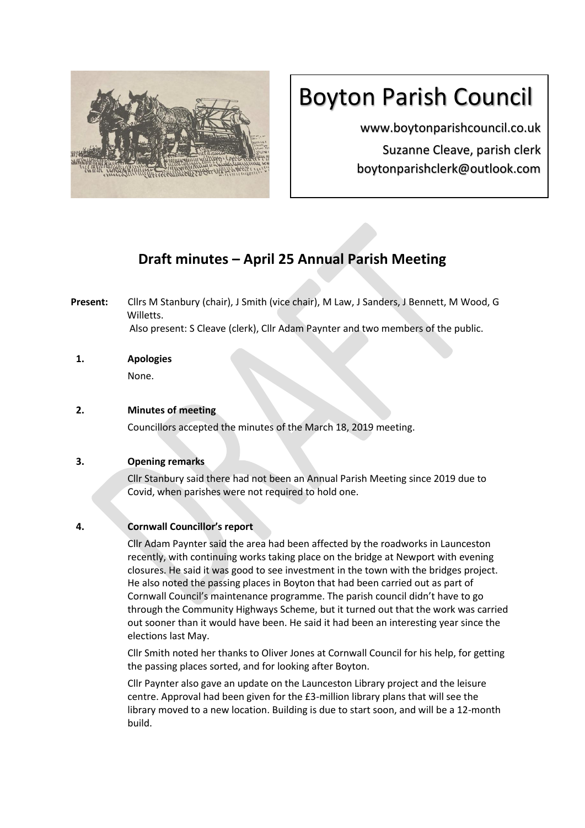

# Boyton Parish Council

www.boytonparishcouncil.co.uk Suzanne Cleave, parish clerk boytonparishclerk@outlook.com

# **Draft minutes – April 25 Annual Parish Meeting**

**Present:** Cllrs M Stanbury (chair), J Smith (vice chair), M Law, J Sanders, J Bennett, M Wood, G Willetts. Also present: S Cleave (clerk), Cllr Adam Paynter and two members of the public.

**1. Apologies**  None.

# **2. Minutes of meeting**

Councillors accepted the minutes of the March 18, 2019 meeting.

# **3. Opening remarks**

Cllr Stanbury said there had not been an Annual Parish Meeting since 2019 due to Covid, when parishes were not required to hold one.

# **4. Cornwall Councillor's report**

Cllr Adam Paynter said the area had been affected by the roadworks in Launceston recently, with continuing works taking place on the bridge at Newport with evening closures. He said it was good to see investment in the town with the bridges project. He also noted the passing places in Boyton that had been carried out as part of Cornwall Council's maintenance programme. The parish council didn't have to go through the Community Highways Scheme, but it turned out that the work was carried out sooner than it would have been. He said it had been an interesting year since the elections last May.

Cllr Smith noted her thanks to Oliver Jones at Cornwall Council for his help, for getting the passing places sorted, and for looking after Boyton.

Cllr Paynter also gave an update on the Launceston Library project and the leisure centre. Approval had been given for the £3-million library plans that will see the library moved to a new location. Building is due to start soon, and will be a 12-month build.